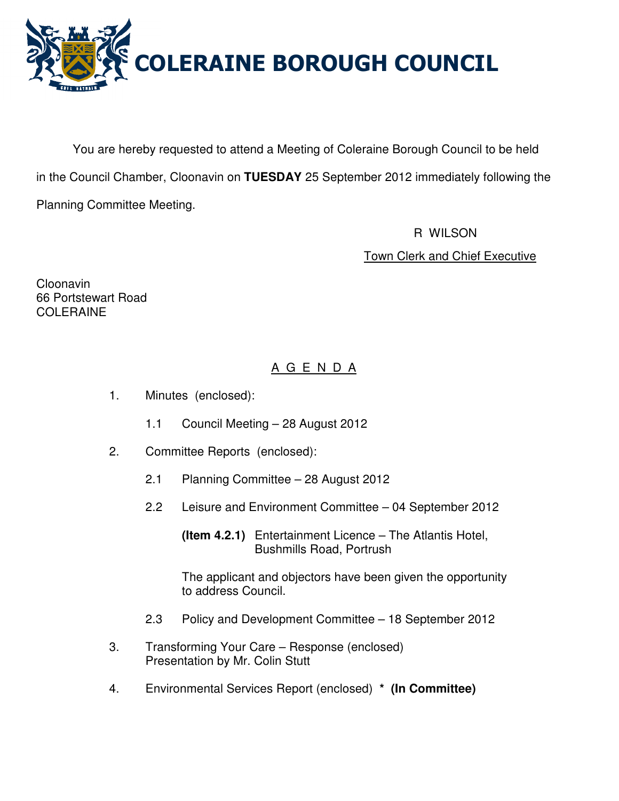

You are hereby requested to attend a Meeting of Coleraine Borough Council to be held in the Council Chamber, Cloonavin on **TUESDAY** 25 September 2012 immediately following the Planning Committee Meeting.

> R WILSON Town Clerk and Chief Executive

Cloonavin 66 Portstewart Road COLERAINE

# A G E N D A

- 1. Minutes (enclosed):
	- 1.1 Council Meeting 28 August 2012
- 2. Committee Reports (enclosed):
	- 2.1 Planning Committee 28 August 2012
	- 2.2 Leisure and Environment Committee 04 September 2012

 **(Item 4.2.1)** Entertainment Licence – The Atlantis Hotel, Bushmills Road, Portrush

 The applicant and objectors have been given the opportunity to address Council.

- 2.3 Policy and Development Committee 18 September 2012
- 3. Transforming Your Care Response (enclosed) Presentation by Mr. Colin Stutt
- 4. Environmental Services Report (enclosed) **\* (In Committee)**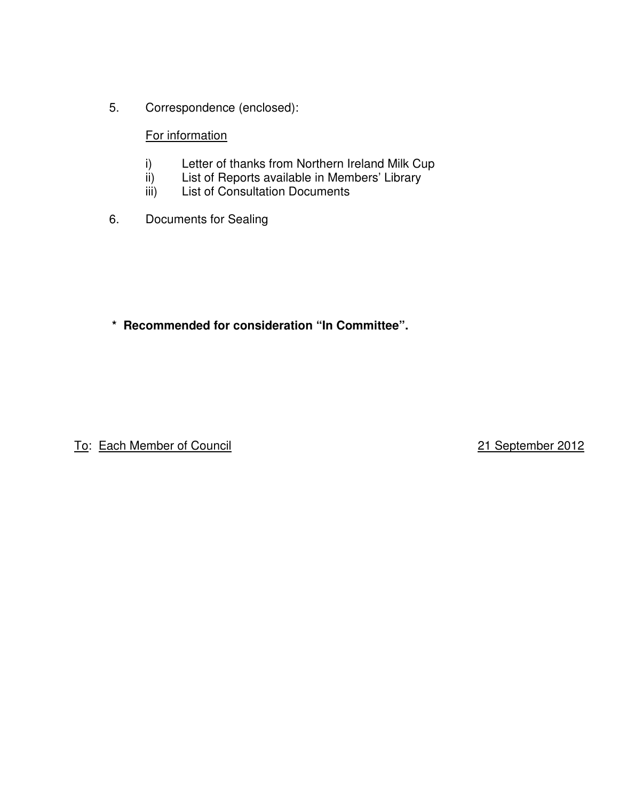5. Correspondence (enclosed):

## For information

- i) Letter of thanks from Northern Ireland Milk Cup
- ii) List of Reports available in Members' Library<br>iii) List of Consultation Documents
- List of Consultation Documents
- 6. Documents for Sealing

**\* Recommended for consideration "In Committee".** 

To: Each Member of Council 21 September 2012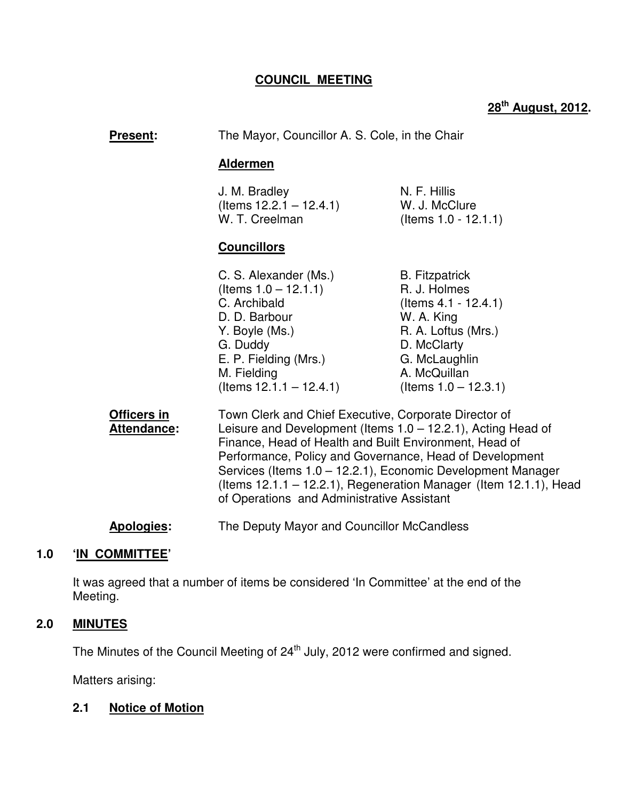## **COUNCIL MEETING**

# **28th August, 2012.**

| <b>Present:</b>                          | The Mayor, Councillor A. S. Cole, in the Chair<br><b>Aldermen</b>                                                                                                                                                                                                                                                                                       |                                                                                                                                                                                  |
|------------------------------------------|---------------------------------------------------------------------------------------------------------------------------------------------------------------------------------------------------------------------------------------------------------------------------------------------------------------------------------------------------------|----------------------------------------------------------------------------------------------------------------------------------------------------------------------------------|
|                                          |                                                                                                                                                                                                                                                                                                                                                         |                                                                                                                                                                                  |
|                                          | J. M. Bradley<br>(Items 12.2.1 – 12.4.1)<br>W. T. Creelman                                                                                                                                                                                                                                                                                              | N. F. Hillis<br>W. J. McClure<br>(Items 1.0 - 12.1.1)                                                                                                                            |
|                                          | <b>Councillors</b>                                                                                                                                                                                                                                                                                                                                      |                                                                                                                                                                                  |
|                                          | C. S. Alexander (Ms.)<br>(Items $1.0 - 12.1.1$ )<br>C. Archibald<br>D. D. Barbour<br>Y. Boyle (Ms.)<br>G. Duddy<br>E. P. Fielding (Mrs.)<br>M. Fielding<br>$($ ltems 12.1.1 – 12.4.1)                                                                                                                                                                   | <b>B.</b> Fitzpatrick<br>R. J. Holmes<br>$($ ltems 4.1 - 12.4.1)<br>W. A. King<br>R. A. Loftus (Mrs.)<br>D. McClarty<br>G. McLaughlin<br>A. McQuillan<br>(Items $1.0 - 12.3.1$ ) |
| <b>Officers in</b><br><b>Attendance:</b> | Town Clerk and Chief Executive, Corporate Director of<br>Leisure and Development (Items 1.0 - 12.2.1), Acting Head of<br>Finance, Head of Health and Built Environment, Head of<br>Performance, Policy and Governance, Head of Development<br>Services (Items 1.0 – 12.2.1), Economic Development Manager<br>of Operations and Administrative Assistant | (Items $12.1.1 - 12.2.1$ ), Regeneration Manager (Item $12.1.1$ ), Head                                                                                                          |
| Apologies:                               | The Deputy Mayor and Councillor McCandless                                                                                                                                                                                                                                                                                                              |                                                                                                                                                                                  |

## **1.0 'IN COMMITTEE'**

 It was agreed that a number of items be considered 'In Committee' at the end of the Meeting.

#### **2.0 MINUTES**

The Minutes of the Council Meeting of 24<sup>th</sup> July, 2012 were confirmed and signed.

Matters arising:

## **2.1 Notice of Motion**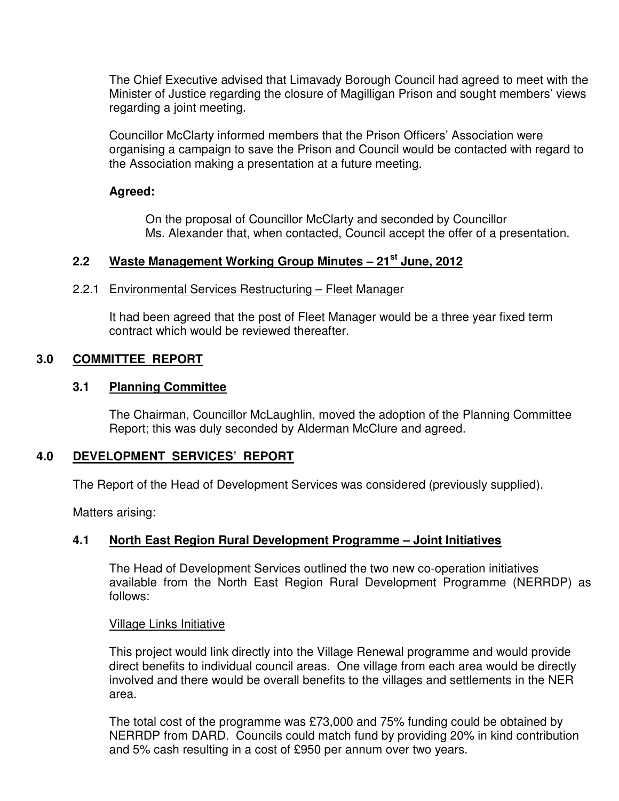The Chief Executive advised that Limavady Borough Council had agreed to meet with the Minister of Justice regarding the closure of Magilligan Prison and sought members' views regarding a joint meeting.

Councillor McClarty informed members that the Prison Officers' Association were organising a campaign to save the Prison and Council would be contacted with regard to the Association making a presentation at a future meeting.

#### **Agreed:**

On the proposal of Councillor McClarty and seconded by Councillor Ms. Alexander that, when contacted, Council accept the offer of a presentation.

## **2.2 Waste Management Working Group Minutes – 21st June, 2012**

#### 2.2.1 Environmental Services Restructuring – Fleet Manager

It had been agreed that the post of Fleet Manager would be a three year fixed term contract which would be reviewed thereafter.

## **3.0 COMMITTEE REPORT**

#### **3.1 Planning Committee**

The Chairman, Councillor McLaughlin, moved the adoption of the Planning Committee Report; this was duly seconded by Alderman McClure and agreed.

## **4.0 DEVELOPMENT SERVICES' REPORT**

The Report of the Head of Development Services was considered (previously supplied).

Matters arising:

## **4.1 North East Region Rural Development Programme – Joint Initiatives**

 The Head of Development Services outlined the two new co-operation initiatives available from the North East Region Rural Development Programme (NERRDP) as follows:

#### Village Links Initiative

This project would link directly into the Village Renewal programme and would provide direct benefits to individual council areas. One village from each area would be directly involved and there would be overall benefits to the villages and settlements in the NER area.

The total cost of the programme was £73,000 and 75% funding could be obtained by NERRDP from DARD. Councils could match fund by providing 20% in kind contribution and 5% cash resulting in a cost of £950 per annum over two years.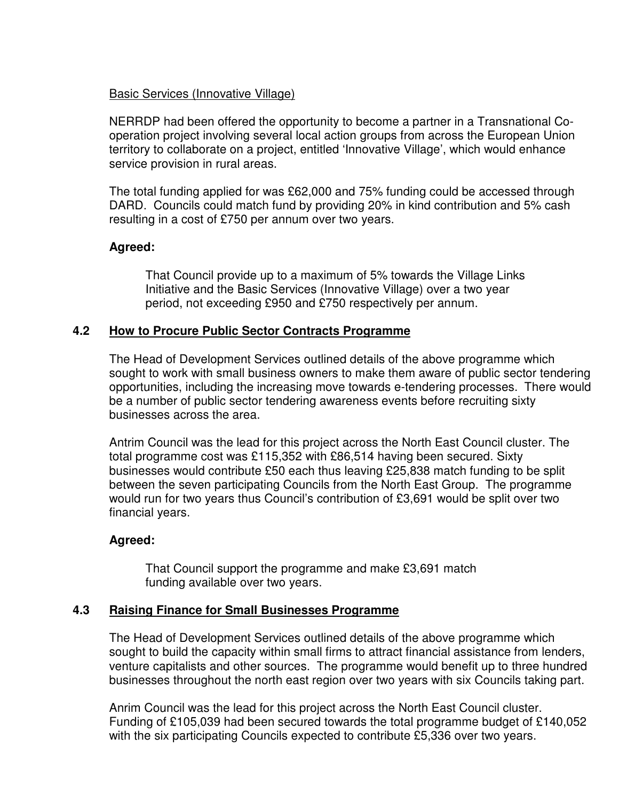#### Basic Services (Innovative Village)

NERRDP had been offered the opportunity to become a partner in a Transnational Cooperation project involving several local action groups from across the European Union territory to collaborate on a project, entitled 'Innovative Village', which would enhance service provision in rural areas.

The total funding applied for was £62,000 and 75% funding could be accessed through DARD. Councils could match fund by providing 20% in kind contribution and 5% cash resulting in a cost of £750 per annum over two years.

## **Agreed:**

 That Council provide up to a maximum of 5% towards the Village Links Initiative and the Basic Services (Innovative Village) over a two year period, not exceeding £950 and £750 respectively per annum.

## **4.2 How to Procure Public Sector Contracts Programme**

The Head of Development Services outlined details of the above programme which sought to work with small business owners to make them aware of public sector tendering opportunities, including the increasing move towards e-tendering processes. There would be a number of public sector tendering awareness events before recruiting sixty businesses across the area.

Antrim Council was the lead for this project across the North East Council cluster. The total programme cost was £115,352 with £86,514 having been secured. Sixty businesses would contribute £50 each thus leaving £25,838 match funding to be split between the seven participating Councils from the North East Group. The programme would run for two years thus Council's contribution of £3,691 would be split over two financial years.

#### **Agreed:**

 That Council support the programme and make £3,691 match funding available over two years.

#### **4.3 Raising Finance for Small Businesses Programme**

The Head of Development Services outlined details of the above programme which sought to build the capacity within small firms to attract financial assistance from lenders, venture capitalists and other sources. The programme would benefit up to three hundred businesses throughout the north east region over two years with six Councils taking part.

Anrim Council was the lead for this project across the North East Council cluster. Funding of £105,039 had been secured towards the total programme budget of £140,052 with the six participating Councils expected to contribute £5,336 over two years.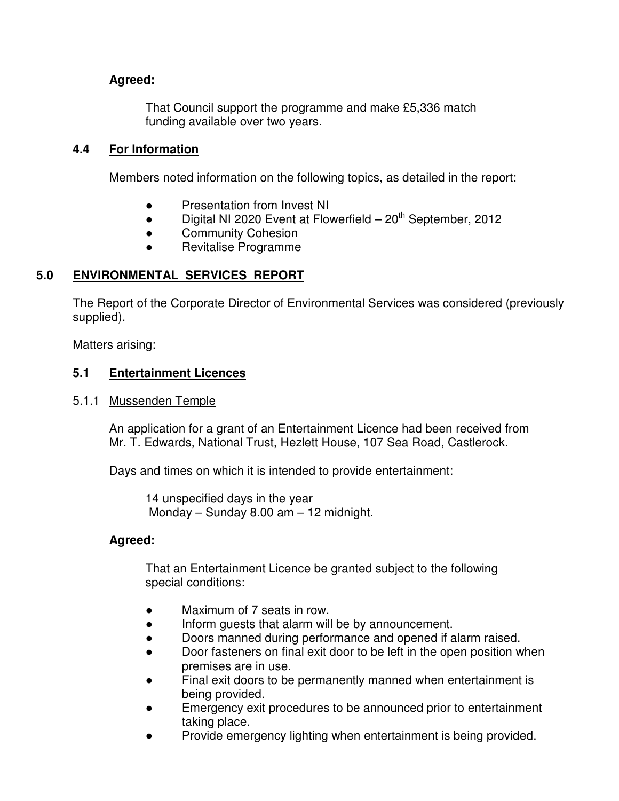## **Agreed:**

 That Council support the programme and make £5,336 match funding available over two years.

## **4.4 For Information**

Members noted information on the following topics, as detailed in the report:

- Presentation from Invest NI
- $\bullet$  Digital NI 2020 Event at Flowerfield 20<sup>th</sup> September, 2012
- **•** Community Cohesion
- Revitalise Programme

## **5.0 ENVIRONMENTAL SERVICES REPORT**

The Report of the Corporate Director of Environmental Services was considered (previously supplied).

Matters arising:

## **5.1 Entertainment Licences**

#### 5.1.1 Mussenden Temple

 An application for a grant of an Entertainment Licence had been received from Mr. T. Edwards, National Trust, Hezlett House, 107 Sea Road, Castlerock.

Days and times on which it is intended to provide entertainment:

 14 unspecified days in the year Monday – Sunday 8.00 am – 12 midnight.

#### **Agreed:**

 That an Entertainment Licence be granted subject to the following special conditions:

- Maximum of 7 seats in row.
- Inform guests that alarm will be by announcement.
- Doors manned during performance and opened if alarm raised.
- Door fasteners on final exit door to be left in the open position when premises are in use.
- Final exit doors to be permanently manned when entertainment is being provided.
- Emergency exit procedures to be announced prior to entertainment taking place.
- Provide emergency lighting when entertainment is being provided.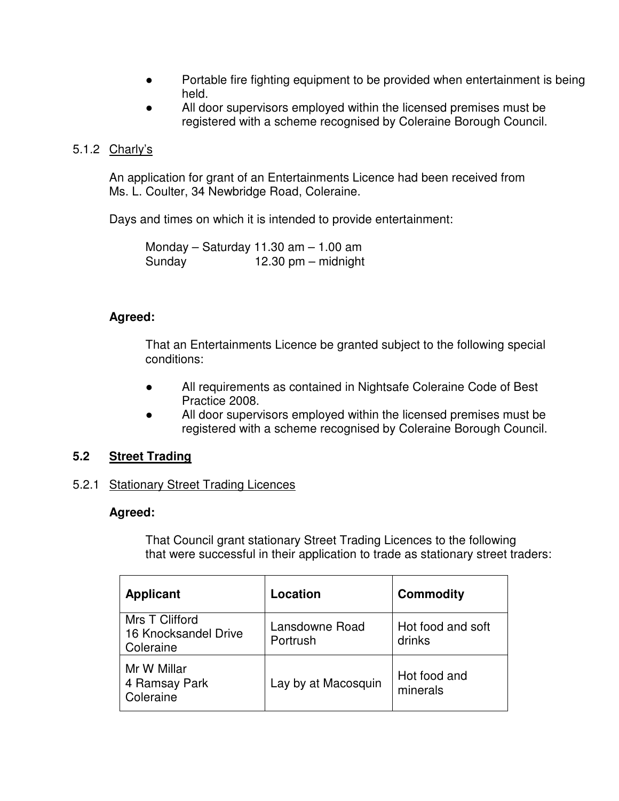- Portable fire fighting equipment to be provided when entertainment is being held.
- All door supervisors employed within the licensed premises must be registered with a scheme recognised by Coleraine Borough Council.

## 5.1.2 Charly's

 An application for grant of an Entertainments Licence had been received from Ms. L. Coulter, 34 Newbridge Road, Coleraine.

Days and times on which it is intended to provide entertainment:

 Monday – Saturday 11.30 am – 1.00 am Sunday 12.30 pm – midnight

#### **Agreed:**

 That an Entertainments Licence be granted subject to the following special conditions:

- All requirements as contained in Nightsafe Coleraine Code of Best Practice 2008.
- All door supervisors employed within the licensed premises must be registered with a scheme recognised by Coleraine Borough Council.

## **5.2 Street Trading**

#### 5.2.1 Stationary Street Trading Licences

#### **Agreed:**

 That Council grant stationary Street Trading Licences to the following that were successful in their application to trade as stationary street traders:

| <b>Applicant</b>                                    | Location                   | <b>Commodity</b>            |
|-----------------------------------------------------|----------------------------|-----------------------------|
| Mrs T Clifford<br>16 Knocksandel Drive<br>Coleraine | Lansdowne Road<br>Portrush | Hot food and soft<br>drinks |
| Mr W Millar<br>4 Ramsay Park<br>Coleraine           | Lay by at Macosquin        | Hot food and<br>minerals    |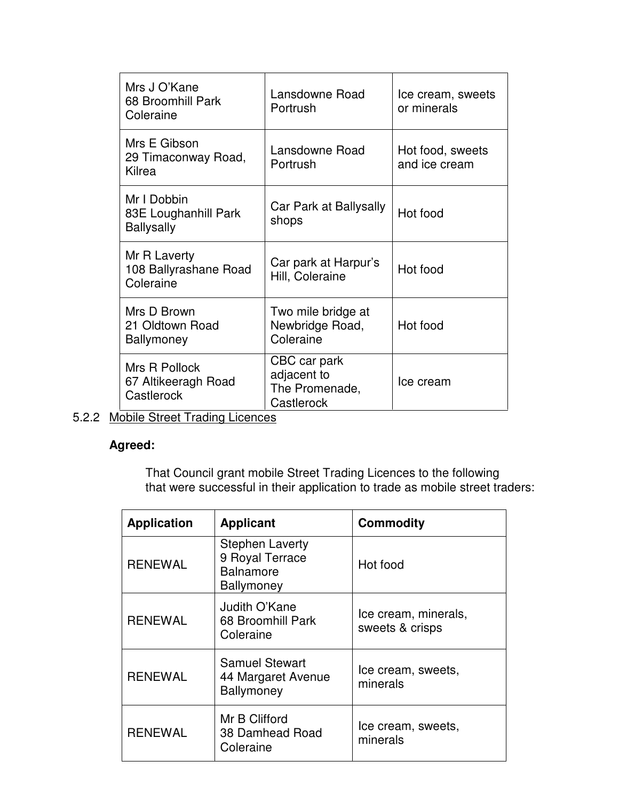| Mrs J O'Kane<br>68 Broomhill Park<br>Coleraine           | Lansdowne Road<br>Portrush                                  | Ice cream, sweets<br>or minerals  |
|----------------------------------------------------------|-------------------------------------------------------------|-----------------------------------|
| Mrs E Gibson<br>29 Timaconway Road,<br>Kilrea            | Lansdowne Road<br>Portrush                                  | Hot food, sweets<br>and ice cream |
| Mr I Dobbin<br>83E Loughanhill Park<br><b>Ballysally</b> | Car Park at Ballysally<br>shops                             | Hot food                          |
| Mr R Laverty<br>108 Ballyrashane Road<br>Coleraine       | Car park at Harpur's<br>Hill, Coleraine                     | Hot food                          |
| Mrs D Brown<br>21 Oldtown Road<br><b>Ballymoney</b>      | Two mile bridge at<br>Newbridge Road,<br>Coleraine          | Hot food                          |
| Mrs R Pollock<br>67 Altikeeragh Road<br>Castlerock       | CBC car park<br>adjacent to<br>The Promenade,<br>Castlerock | Ice cream                         |

5.2.2 Mobile Street Trading Licences

## **Agreed:**

 That Council grant mobile Street Trading Licences to the following that were successful in their application to trade as mobile street traders:

| <b>Application</b> | <b>Applicant</b>                                                                   | <b>Commodity</b>                        |
|--------------------|------------------------------------------------------------------------------------|-----------------------------------------|
| <b>RENEWAL</b>     | <b>Stephen Laverty</b><br>9 Royal Terrace<br><b>Balnamore</b><br><b>Ballymoney</b> | Hot food                                |
| <b>RENEWAL</b>     | Judith O'Kane<br>68 Broomhill Park<br>Coleraine                                    | Ice cream, minerals,<br>sweets & crisps |
| <b>RENEWAL</b>     | <b>Samuel Stewart</b><br>44 Margaret Avenue<br>Ballymoney                          | Ice cream, sweets,<br>minerals          |
| <b>RENEWAL</b>     | Mr B Clifford<br>38 Damhead Road<br>Coleraine                                      | Ice cream, sweets,<br>minerals          |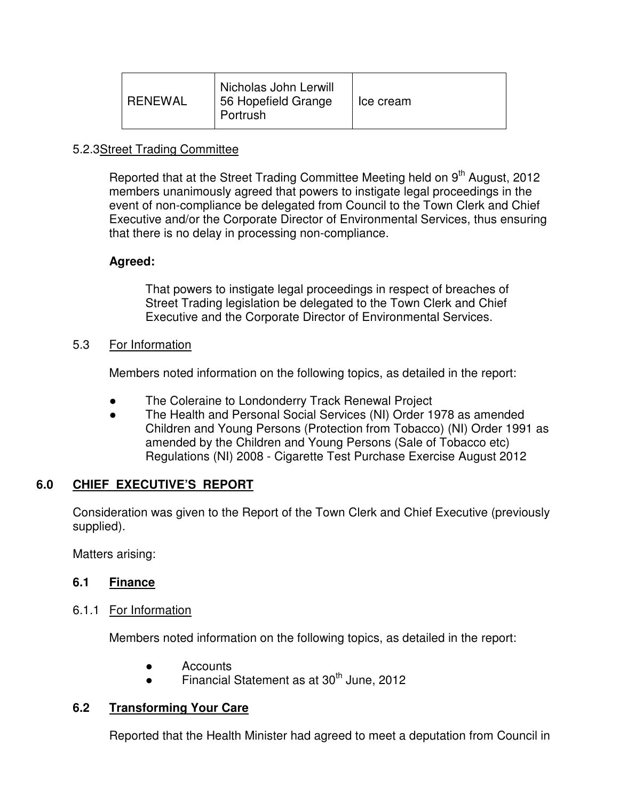| <b>RENEWAL</b> | Nicholas John Lerwill<br>56 Hopefield Grange<br>Portrush | Ice cream |
|----------------|----------------------------------------------------------|-----------|
|----------------|----------------------------------------------------------|-----------|

## 5.2.3Street Trading Committee

Reported that at the Street Trading Committee Meeting held on 9<sup>th</sup> August, 2012 members unanimously agreed that powers to instigate legal proceedings in the event of non-compliance be delegated from Council to the Town Clerk and Chief Executive and/or the Corporate Director of Environmental Services, thus ensuring that there is no delay in processing non-compliance.

## **Agreed:**

 That powers to instigate legal proceedings in respect of breaches of Street Trading legislation be delegated to the Town Clerk and Chief Executive and the Corporate Director of Environmental Services.

5.3 For Information

Members noted information on the following topics, as detailed in the report:

- The Coleraine to Londonderry Track Renewal Project
- The Health and Personal Social Services (NI) Order 1978 as amended Children and Young Persons (Protection from Tobacco) (NI) Order 1991 as amended by the Children and Young Persons (Sale of Tobacco etc) Regulations (NI) 2008 - Cigarette Test Purchase Exercise August 2012

## **6.0 CHIEF EXECUTIVE'S REPORT**

 Consideration was given to the Report of the Town Clerk and Chief Executive (previously supplied).

Matters arising:

## **6.1 Finance**

#### 6.1.1 For Information

Members noted information on the following topics, as detailed in the report:

- Accounts
- Financial Statement as at  $30<sup>th</sup>$  June, 2012

## **6.2 Transforming Your Care**

Reported that the Health Minister had agreed to meet a deputation from Council in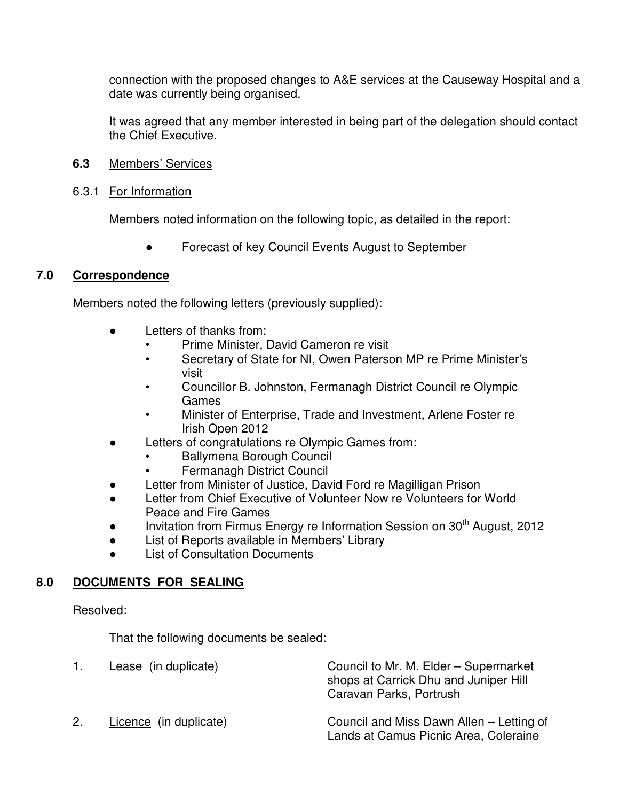connection with the proposed changes to A&E services at the Causeway Hospital and a date was currently being organised.

It was agreed that any member interested in being part of the delegation should contact the Chief Executive.

- **6.3** Members' Services
- 6.3.1 For Information

Members noted information on the following topic, as detailed in the report:

Forecast of key Council Events August to September

## **7.0 Correspondence**

Members noted the following letters (previously supplied):

- Letters of thanks from:
	- Prime Minister, David Cameron re visit
	- Secretary of State for NI, Owen Paterson MP re Prime Minister's visit
	- Councillor B. Johnston, Fermanagh District Council re Olympic Games
	- Minister of Enterprise, Trade and Investment, Arlene Foster re Irish Open 2012
- Letters of congratulations re Olympic Games from:
	- Ballymena Borough Council
	- Fermanagh District Council
- Letter from Minister of Justice, David Ford re Magilligan Prison
- Letter from Chief Executive of Volunteer Now re Volunteers for World Peace and Fire Games
- Invitation from Firmus Energy re Information Session on 30<sup>th</sup> August, 2012
- List of Reports available in Members' Library
- **List of Consultation Documents**

## **8.0 DOCUMENTS FOR SEALING**

Resolved:

That the following documents be sealed:

|    | Lease (in duplicate)   | Council to Mr. M. Elder - Supermarket<br>shops at Carrick Dhu and Juniper Hill<br>Caravan Parks, Portrush |
|----|------------------------|-----------------------------------------------------------------------------------------------------------|
| 2. | Licence (in duplicate) | Council and Miss Dawn Allen – Letting of<br>Lands at Camus Picnic Area, Coleraine                         |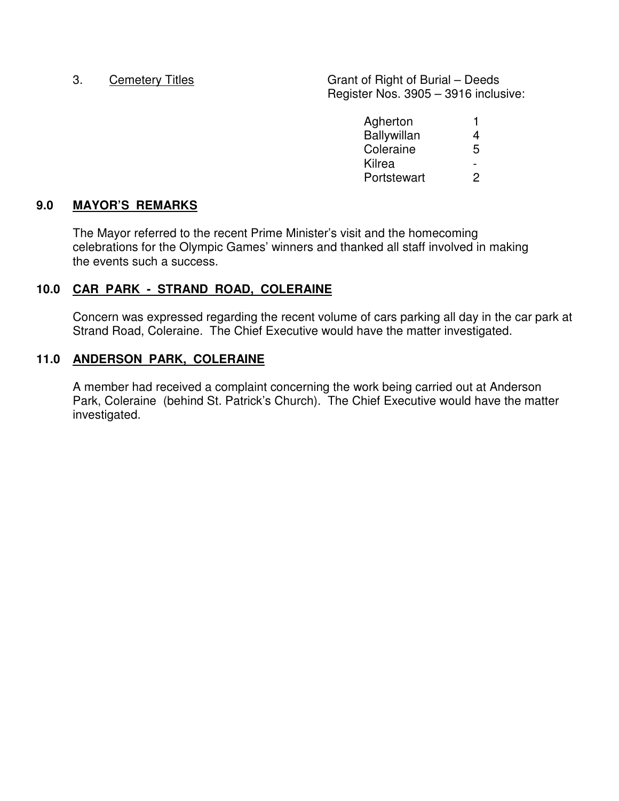3. Cemetery Titles Grant of Right of Burial – Deeds Register Nos. 3905 – 3916 inclusive:

| Agherton    |               |
|-------------|---------------|
| Ballywillan | 4             |
| Coleraine   | 5             |
| Kilrea      | -             |
| Portstewart | $\mathcal{P}$ |

## **9.0 MAYOR'S REMARKS**

 The Mayor referred to the recent Prime Minister's visit and the homecoming celebrations for the Olympic Games' winners and thanked all staff involved in making the events such a success.

#### **10.0 CAR PARK - STRAND ROAD, COLERAINE**

Concern was expressed regarding the recent volume of cars parking all day in the car park at Strand Road, Coleraine. The Chief Executive would have the matter investigated.

#### **11.0 ANDERSON PARK, COLERAINE**

 A member had received a complaint concerning the work being carried out at Anderson Park, Coleraine (behind St. Patrick's Church). The Chief Executive would have the matter investigated.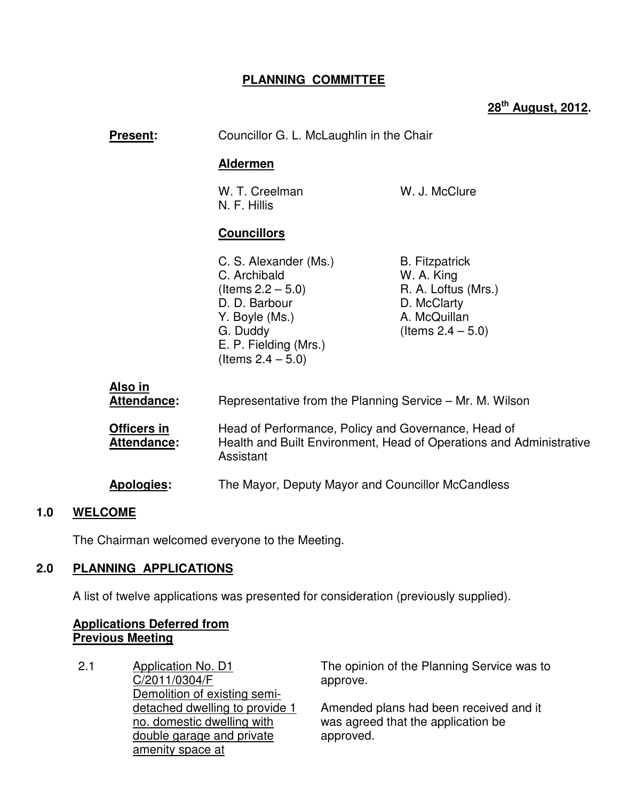## **PLANNING COMMITTEE**

# **28th August, 2012.**

| <b>Present:</b>                   | Councillor G. L. McLaughlin in the Chair                                                                                                                      |                                                                                                                   |
|-----------------------------------|---------------------------------------------------------------------------------------------------------------------------------------------------------------|-------------------------------------------------------------------------------------------------------------------|
|                                   | <b>Aldermen</b>                                                                                                                                               |                                                                                                                   |
|                                   | W. T. Creelman<br>N. F. Hillis                                                                                                                                | W. J. McClure                                                                                                     |
|                                   | <b>Councillors</b>                                                                                                                                            |                                                                                                                   |
|                                   | C. S. Alexander (Ms.)<br>C. Archibald<br>(Items $2.2 - 5.0$ )<br>D. D. Barbour<br>Y. Boyle (Ms.)<br>G. Duddy<br>E. P. Fielding (Mrs.)<br>(Items $2.4 - 5.0$ ) | <b>B.</b> Fitzpatrick<br>W. A. King<br>R. A. Loftus (Mrs.)<br>D. McClarty<br>A. McQuillan<br>(Items $2.4 - 5.0$ ) |
| <u>Also in</u><br>Attendance:     | Representative from the Planning Service – Mr. M. Wilson                                                                                                      |                                                                                                                   |
| Officers in<br><b>Attendance:</b> | Head of Performance, Policy and Governance, Head of<br>Health and Built Environment, Head of Operations and Administrative<br>Assistant                       |                                                                                                                   |
| Apologies:                        | The Mayor, Deputy Mayor and Councillor McCandless                                                                                                             |                                                                                                                   |

#### **1.0 WELCOME**

The Chairman welcomed everyone to the Meeting.

## **2.0 PLANNING APPLICATIONS**

A list of twelve applications was presented for consideration (previously supplied).

#### **Applications Deferred from Previous Meeting**

2.1 Application No. D1 C/2011/0304/F Demolition of existing semidetached dwelling to provide 1 no. domestic dwelling with double garage and private amenity space at

The opinion of the Planning Service was to approve.

Amended plans had been received and it was agreed that the application be approved.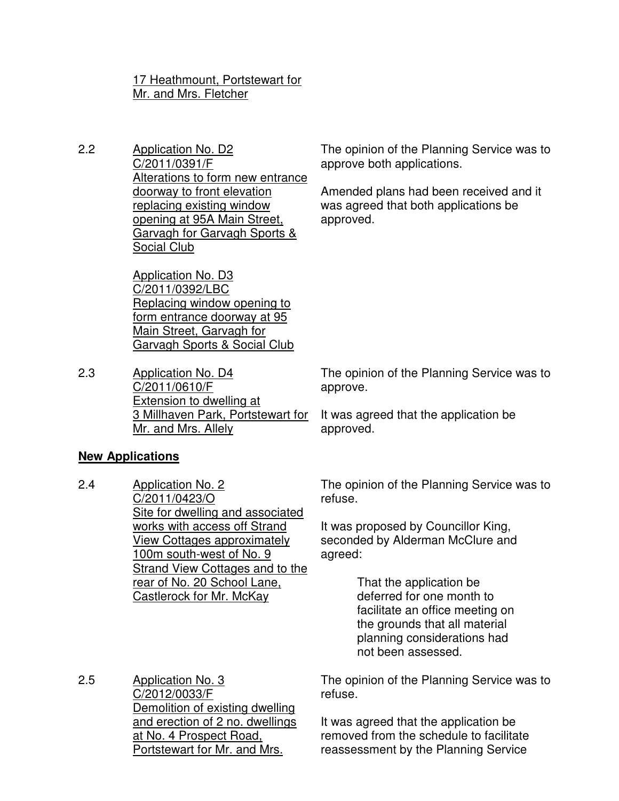#### 17 Heathmount, Portstewart for Mr. and Mrs. Fletcher

2.2 Application No. D2 C/2011/0391/F Alterations to form new entrance doorway to front elevation replacing existing window opening at 95A Main Street, Garvagh for Garvagh Sports & Social Club

> Application No. D3 C/2011/0392/LBC Replacing window opening to form entrance doorway at 95 Main Street, Garvagh for Garvagh Sports & Social Club

2.3 Application No. D4 C/2011/0610/F Extension to dwelling at 3 Millhaven Park, Portstewart for Mr. and Mrs. Allely

The opinion of the Planning Service was to approve both applications.

Amended plans had been received and it was agreed that both applications be approved.

The opinion of the Planning Service was to approve.

It was agreed that the application be approved.

#### **New Applications**

2.4 Application No. 2 C/2011/0423/O Site for dwelling and associated works with access off Strand View Cottages approximately 100m south-west of No. 9 Strand View Cottages and to the rear of No. 20 School Lane, Castlerock for Mr. McKay

The opinion of the Planning Service was to refuse.

It was proposed by Councillor King, seconded by Alderman McClure and agreed:

> That the application be deferred for one month to facilitate an office meeting on the grounds that all material planning considerations had not been assessed.

2.5 Application No. 3 C/2012/0033/F Demolition of existing dwelling and erection of 2 no. dwellings at No. 4 Prospect Road, Portstewart for Mr. and Mrs.

The opinion of the Planning Service was to refuse.

It was agreed that the application be removed from the schedule to facilitate reassessment by the Planning Service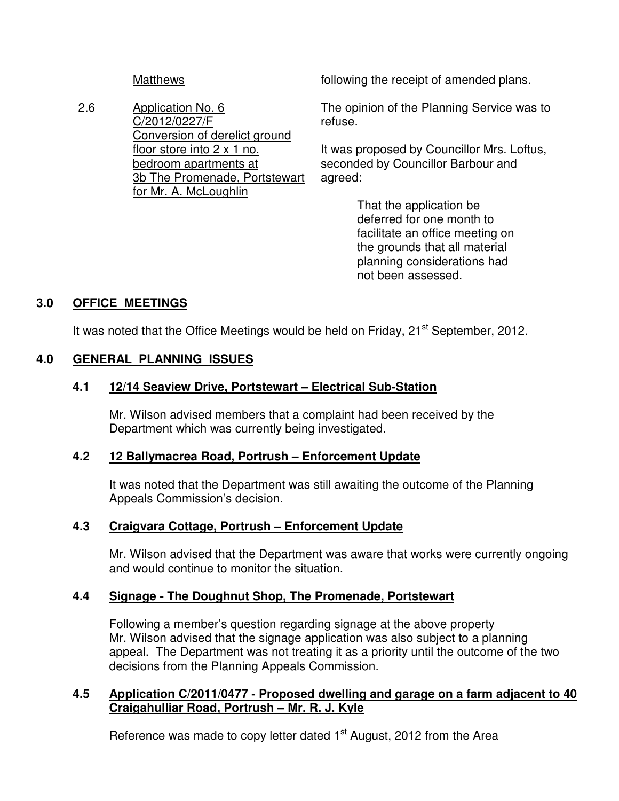2.6 Application No. 6 C/2012/0227/F Conversion of derelict ground floor store into 2 x 1 no. bedroom apartments at 3b The Promenade, Portstewart for Mr. A. McLoughlin

Matthews **following the receipt of amended plans.** 

The opinion of the Planning Service was to refuse.

It was proposed by Councillor Mrs. Loftus, seconded by Councillor Barbour and agreed:

> That the application be deferred for one month to facilitate an office meeting on the grounds that all material planning considerations had not been assessed.

## **3.0 OFFICE MEETINGS**

It was noted that the Office Meetings would be held on Friday,  $21<sup>st</sup>$  September, 2012.

## **4.0 GENERAL PLANNING ISSUES**

## **4.1 12/14 Seaview Drive, Portstewart – Electrical Sub-Station**

Mr. Wilson advised members that a complaint had been received by the Department which was currently being investigated.

#### **4.2 12 Ballymacrea Road, Portrush – Enforcement Update**

It was noted that the Department was still awaiting the outcome of the Planning Appeals Commission's decision.

#### **4.3 Craigvara Cottage, Portrush – Enforcement Update**

Mr. Wilson advised that the Department was aware that works were currently ongoing and would continue to monitor the situation.

## **4.4 Signage - The Doughnut Shop, The Promenade, Portstewart**

Following a member's question regarding signage at the above property Mr. Wilson advised that the signage application was also subject to a planning appeal. The Department was not treating it as a priority until the outcome of the two decisions from the Planning Appeals Commission.

## **4.5 Application C/2011/0477 - Proposed dwelling and garage on a farm adjacent to 40 Craigahulliar Road, Portrush – Mr. R. J. Kyle**

Reference was made to copy letter dated  $1<sup>st</sup>$  August, 2012 from the Area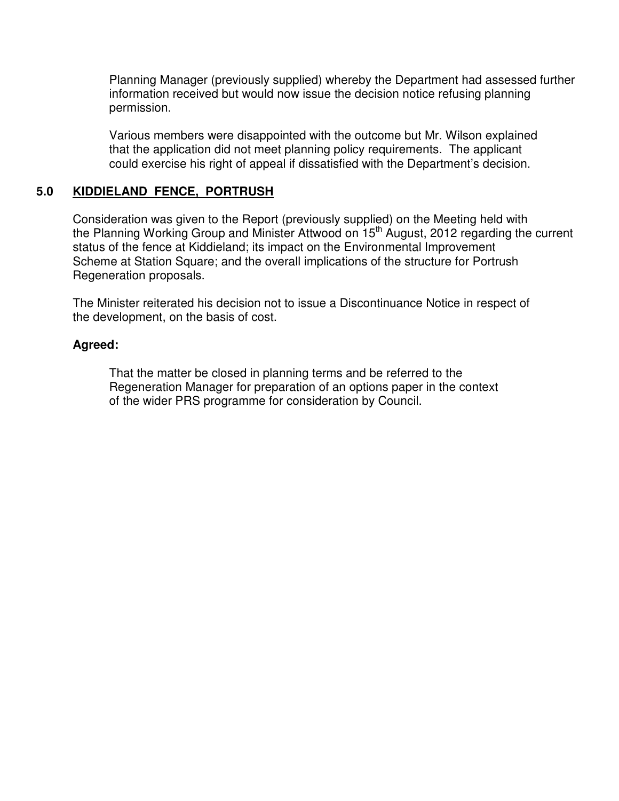Planning Manager (previously supplied) whereby the Department had assessed further information received but would now issue the decision notice refusing planning permission.

Various members were disappointed with the outcome but Mr. Wilson explained that the application did not meet planning policy requirements. The applicant could exercise his right of appeal if dissatisfied with the Department's decision.

## **5.0 KIDDIELAND FENCE, PORTRUSH**

 Consideration was given to the Report (previously supplied) on the Meeting held with the Planning Working Group and Minister Attwood on 15<sup>th</sup> August, 2012 regarding the current status of the fence at Kiddieland; its impact on the Environmental Improvement Scheme at Station Square; and the overall implications of the structure for Portrush Regeneration proposals.

The Minister reiterated his decision not to issue a Discontinuance Notice in respect of the development, on the basis of cost.

#### **Agreed:**

 That the matter be closed in planning terms and be referred to the Regeneration Manager for preparation of an options paper in the context of the wider PRS programme for consideration by Council.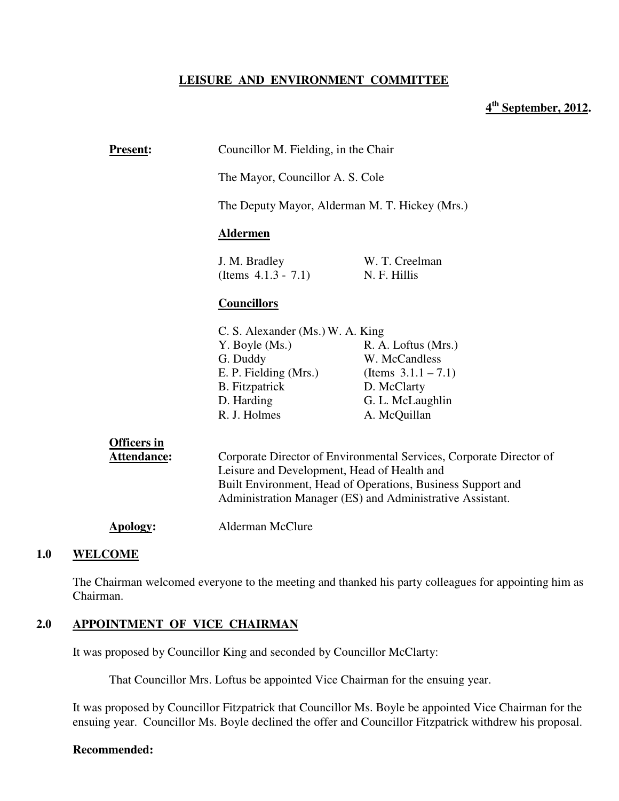#### **LEISURE AND ENVIRONMENT COMMITTEE**

## **4 th September, 2012.**

| <b>Present:</b>                          |                                             | Councillor M. Fielding, in the Chair                                                                                                                                                            |  |
|------------------------------------------|---------------------------------------------|-------------------------------------------------------------------------------------------------------------------------------------------------------------------------------------------------|--|
|                                          | The Mayor, Councillor A. S. Cole            |                                                                                                                                                                                                 |  |
|                                          |                                             | The Deputy Mayor, Alderman M. T. Hickey (Mrs.)                                                                                                                                                  |  |
|                                          | <b>Aldermen</b>                             |                                                                                                                                                                                                 |  |
|                                          | J. M. Bradley<br>(Items $4.1.3 - 7.1$ )     | W. T. Creelman<br>N. F. Hillis                                                                                                                                                                  |  |
|                                          | <b>Councillors</b>                          |                                                                                                                                                                                                 |  |
|                                          | C. S. Alexander (Ms.) W. A. King            |                                                                                                                                                                                                 |  |
|                                          | Y. Boyle (Ms.)                              | R. A. Loftus (Mrs.)                                                                                                                                                                             |  |
|                                          | G. Duddy                                    | W. McCandless                                                                                                                                                                                   |  |
|                                          | E. P. Fielding (Mrs.)                       | (Items $3.1.1 - 7.1$ )                                                                                                                                                                          |  |
|                                          | <b>B.</b> Fitzpatrick                       | D. McClarty                                                                                                                                                                                     |  |
|                                          | D. Harding                                  | G. L. McLaughlin                                                                                                                                                                                |  |
|                                          | R. J. Holmes                                | A. McQuillan                                                                                                                                                                                    |  |
| <b>Officers</b> in<br><b>Attendance:</b> | Leisure and Development, Head of Health and | Corporate Director of Environmental Services, Corporate Director of<br>Built Environment, Head of Operations, Business Support and<br>Administration Manager (ES) and Administrative Assistant. |  |
| Apology:                                 | <b>Alderman McClure</b>                     |                                                                                                                                                                                                 |  |
|                                          |                                             |                                                                                                                                                                                                 |  |

## **1.0 WELCOME**

The Chairman welcomed everyone to the meeting and thanked his party colleagues for appointing him as Chairman.

#### **2.0 APPOINTMENT OF VICE CHAIRMAN**

It was proposed by Councillor King and seconded by Councillor McClarty:

That Councillor Mrs. Loftus be appointed Vice Chairman for the ensuing year.

It was proposed by Councillor Fitzpatrick that Councillor Ms. Boyle be appointed Vice Chairman for the ensuing year. Councillor Ms. Boyle declined the offer and Councillor Fitzpatrick withdrew his proposal.

#### **Recommended:**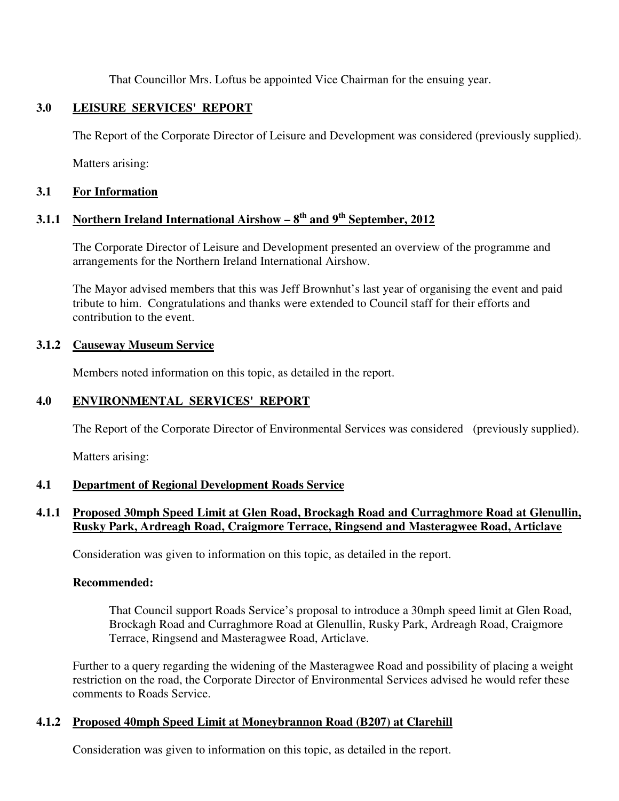That Councillor Mrs. Loftus be appointed Vice Chairman for the ensuing year.

## **3.0 LEISURE SERVICES' REPORT**

The Report of the Corporate Director of Leisure and Development was considered (previously supplied).

Matters arising:

#### **3.1 For Information**

# **3.1.1 Northern Ireland International Airshow – 8th and 9th September, 2012**

The Corporate Director of Leisure and Development presented an overview of the programme and arrangements for the Northern Ireland International Airshow.

The Mayor advised members that this was Jeff Brownhut's last year of organising the event and paid tribute to him. Congratulations and thanks were extended to Council staff for their efforts and contribution to the event.

#### **3.1.2 Causeway Museum Service**

Members noted information on this topic, as detailed in the report.

#### **4.0 ENVIRONMENTAL SERVICES' REPORT**

The Report of the Corporate Director of Environmental Services was considered (previously supplied).

Matters arising:

#### **4.1 Department of Regional Development Roads Service**

## **4.1.1 Proposed 30mph Speed Limit at Glen Road, Brockagh Road and Curraghmore Road at Glenullin, Rusky Park, Ardreagh Road, Craigmore Terrace, Ringsend and Masteragwee Road, Articlave**

Consideration was given to information on this topic, as detailed in the report.

#### **Recommended:**

That Council support Roads Service's proposal to introduce a 30mph speed limit at Glen Road, Brockagh Road and Curraghmore Road at Glenullin, Rusky Park, Ardreagh Road, Craigmore Terrace, Ringsend and Masteragwee Road, Articlave.

Further to a query regarding the widening of the Masteragwee Road and possibility of placing a weight restriction on the road, the Corporate Director of Environmental Services advised he would refer these comments to Roads Service.

#### **4.1.2 Proposed 40mph Speed Limit at Moneybrannon Road (B207) at Clarehill**

Consideration was given to information on this topic, as detailed in the report.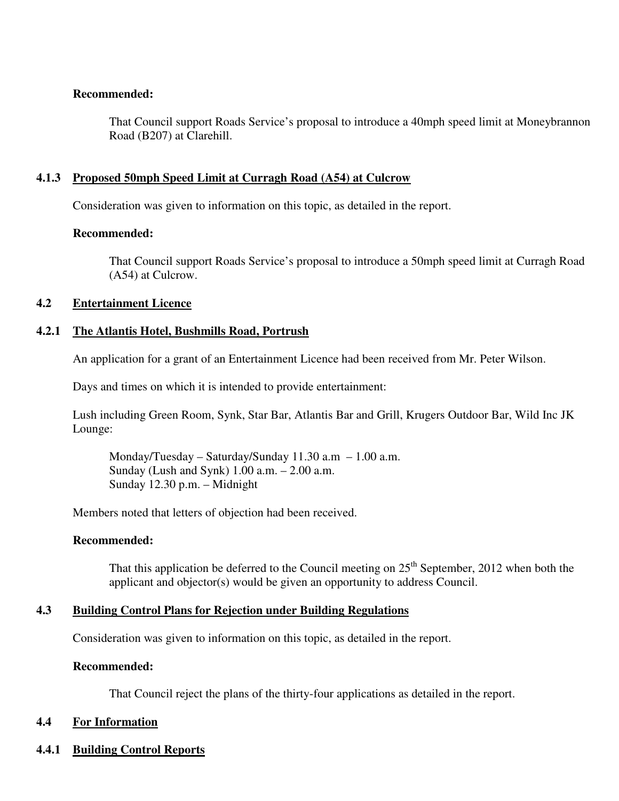#### **Recommended:**

That Council support Roads Service's proposal to introduce a 40mph speed limit at Moneybrannon Road (B207) at Clarehill.

#### **4.1.3 Proposed 50mph Speed Limit at Curragh Road (A54) at Culcrow**

Consideration was given to information on this topic, as detailed in the report.

#### **Recommended:**

That Council support Roads Service's proposal to introduce a 50mph speed limit at Curragh Road (A54) at Culcrow.

#### **4.2 Entertainment Licence**

#### **4.2.1 The Atlantis Hotel, Bushmills Road, Portrush**

An application for a grant of an Entertainment Licence had been received from Mr. Peter Wilson.

Days and times on which it is intended to provide entertainment:

 Lush including Green Room, Synk, Star Bar, Atlantis Bar and Grill, Krugers Outdoor Bar, Wild Inc JK Lounge:

Monday/Tuesday – Saturday/Sunday  $11.30$  a.m –  $1.00$  a.m. Sunday (Lush and Synk)  $1.00$  a.m.  $- 2.00$  a.m. Sunday 12.30 p.m. – Midnight

Members noted that letters of objection had been received.

#### **Recommended:**

That this application be deferred to the Council meeting on  $25<sup>th</sup>$  September, 2012 when both the applicant and objector(s) would be given an opportunity to address Council.

#### **4.3 Building Control Plans for Rejection under Building Regulations**

Consideration was given to information on this topic, as detailed in the report.

#### **Recommended:**

That Council reject the plans of the thirty-four applications as detailed in the report.

#### **4.4 For Information**

**4.4.1 Building Control Reports**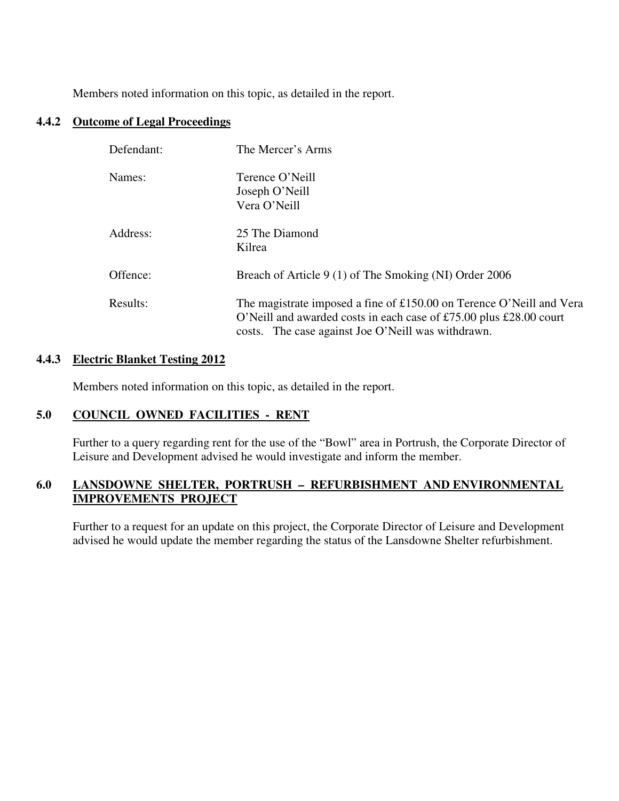Members noted information on this topic, as detailed in the report.

#### **4.4.2 Outcome of Legal Proceedings**

| Defendant: | The Mercer's Arms                                                                                                                                                                                |
|------------|--------------------------------------------------------------------------------------------------------------------------------------------------------------------------------------------------|
| Names:     | Terence O'Neill<br>Joseph O'Neill<br>Vera O'Neill                                                                                                                                                |
| Address:   | 25 The Diamond<br>Kilrea                                                                                                                                                                         |
| Offence:   | Breach of Article 9 (1) of The Smoking (NI) Order 2006                                                                                                                                           |
| Results:   | The magistrate imposed a fine of £150.00 on Terence O'Neill and Vera<br>O'Neill and awarded costs in each case of £75.00 plus £28.00 court<br>costs. The case against Joe O'Neill was withdrawn. |

#### **4.4.3 Electric Blanket Testing 2012**

Members noted information on this topic, as detailed in the report.

#### **5.0 COUNCIL OWNED FACILITIES - RENT**

Further to a query regarding rent for the use of the "Bowl" area in Portrush, the Corporate Director of Leisure and Development advised he would investigate and inform the member.

## **6.0 LANSDOWNE SHELTER, PORTRUSH – REFURBISHMENT AND ENVIRONMENTAL IMPROVEMENTS PROJECT**

Further to a request for an update on this project, the Corporate Director of Leisure and Development advised he would update the member regarding the status of the Lansdowne Shelter refurbishment.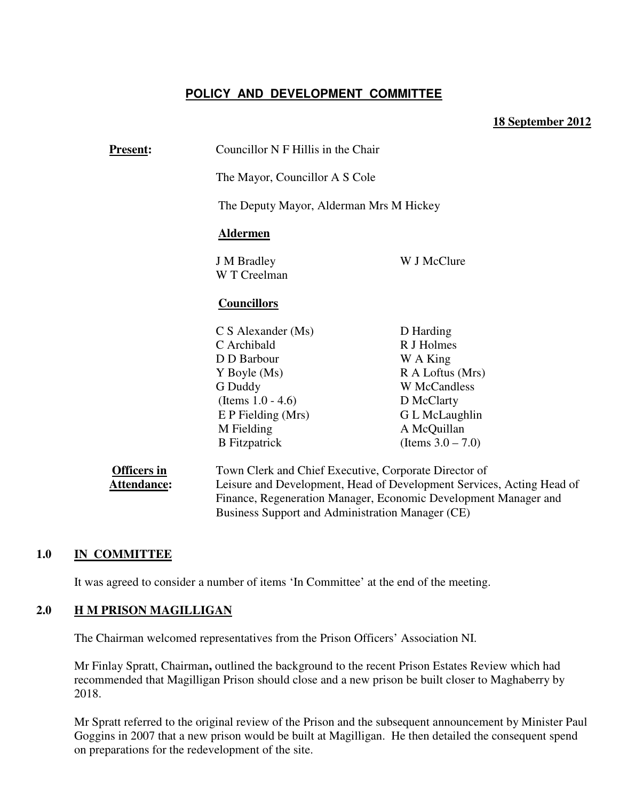## **POLICY AND DEVELOPMENT COMMITTEE**

#### **18 September 2012**

| <b>Present:</b>    | Councillor N F Hillis in the Chair                                    |                      |
|--------------------|-----------------------------------------------------------------------|----------------------|
|                    | The Mayor, Councillor A S Cole                                        |                      |
|                    | The Deputy Mayor, Alderman Mrs M Hickey                               |                      |
|                    | <b>Aldermen</b>                                                       |                      |
|                    | <b>J</b> M Bradley<br>W J McClure<br>W T Creelman                     |                      |
|                    | <b>Councillors</b>                                                    |                      |
|                    | $C S$ Alexander (Ms)                                                  | D Harding            |
|                    | C Archibald                                                           | R J Holmes           |
|                    | D D Barbour<br>W A King                                               |                      |
|                    | R A Loftus (Mrs)<br>Y Boyle (Ms)                                      |                      |
|                    | <b>W</b> McCandless<br>G Duddy                                        |                      |
|                    | (Items $1.0 - 4.6$ )                                                  | D McClarty           |
|                    | $E$ P Fielding (Mrs)                                                  | G L McLaughlin       |
|                    | M Fielding                                                            | A McQuillan          |
|                    | <b>B</b> Fitzpatrick                                                  | (Items $3.0 - 7.0$ ) |
| <b>Officers in</b> | Town Clerk and Chief Executive, Corporate Director of                 |                      |
| Attendance:        | Leisure and Development, Head of Development Services, Acting Head of |                      |
|                    | Finance, Regeneration Manager, Economic Development Manager and       |                      |
|                    | Business Support and Administration Manager (CE)                      |                      |

#### **1.0 IN COMMITTEE**

It was agreed to consider a number of items 'In Committee' at the end of the meeting.

#### **2.0 H M PRISON MAGILLIGAN**

The Chairman welcomed representatives from the Prison Officers' Association NI.

Mr Finlay Spratt, Chairman**,** outlined the background to the recent Prison Estates Review which had recommended that Magilligan Prison should close and a new prison be built closer to Maghaberry by 2018.

Mr Spratt referred to the original review of the Prison and the subsequent announcement by Minister Paul Goggins in 2007 that a new prison would be built at Magilligan. He then detailed the consequent spend on preparations for the redevelopment of the site.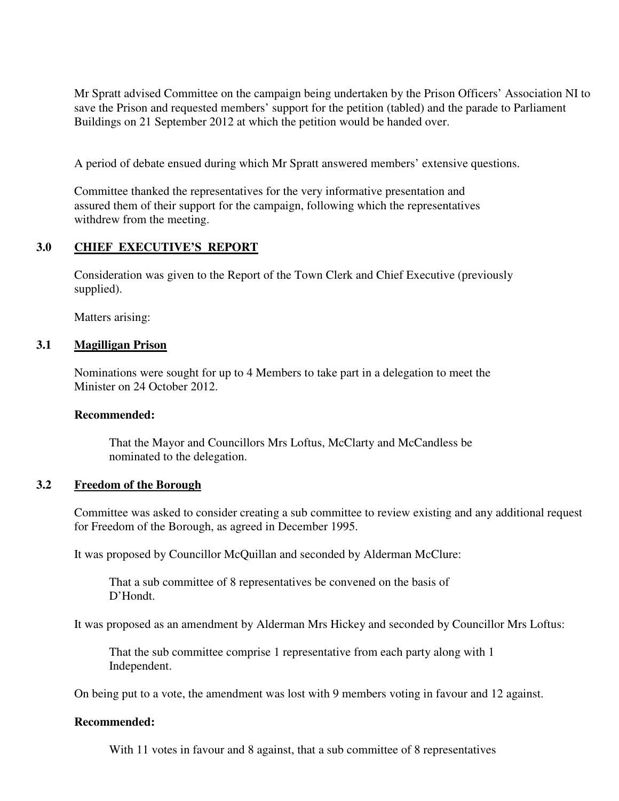Mr Spratt advised Committee on the campaign being undertaken by the Prison Officers' Association NI to save the Prison and requested members' support for the petition (tabled) and the parade to Parliament Buildings on 21 September 2012 at which the petition would be handed over.

A period of debate ensued during which Mr Spratt answered members' extensive questions.

Committee thanked the representatives for the very informative presentation and assured them of their support for the campaign, following which the representatives withdrew from the meeting.

#### **3.0 CHIEF EXECUTIVE'S REPORT**

Consideration was given to the Report of the Town Clerk and Chief Executive (previously supplied).

Matters arising:

#### **3.1 Magilligan Prison**

 Nominations were sought for up to 4 Members to take part in a delegation to meet the Minister on 24 October 2012.

#### **Recommended:**

That the Mayor and Councillors Mrs Loftus, McClarty and McCandless be nominated to the delegation.

#### **3.2 Freedom of the Borough**

Committee was asked to consider creating a sub committee to review existing and any additional request for Freedom of the Borough, as agreed in December 1995.

It was proposed by Councillor McQuillan and seconded by Alderman McClure:

 That a sub committee of 8 representatives be convened on the basis of D'Hondt.

It was proposed as an amendment by Alderman Mrs Hickey and seconded by Councillor Mrs Loftus:

 That the sub committee comprise 1 representative from each party along with 1 Independent.

On being put to a vote, the amendment was lost with 9 members voting in favour and 12 against.

#### **Recommended:**

With 11 votes in favour and 8 against, that a sub committee of 8 representatives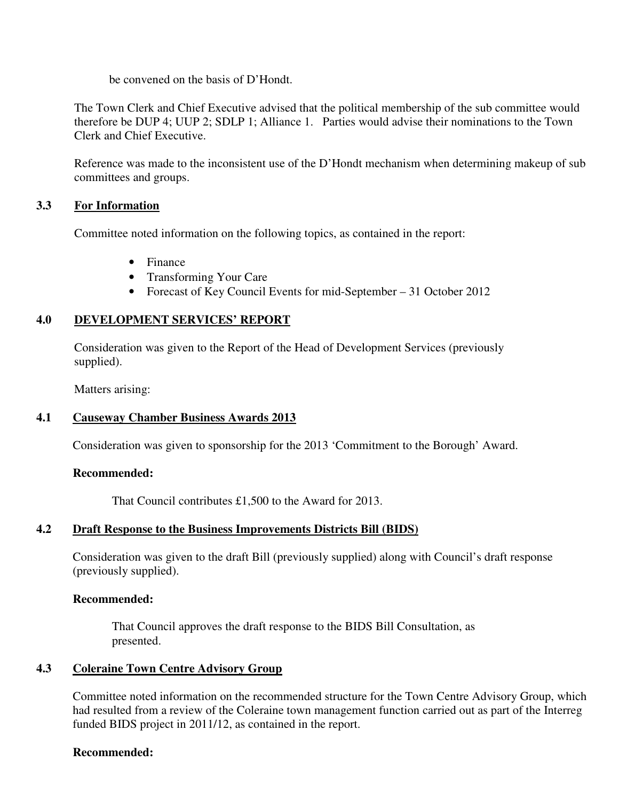be convened on the basis of D'Hondt.

The Town Clerk and Chief Executive advised that the political membership of the sub committee would therefore be DUP 4; UUP 2; SDLP 1; Alliance 1. Parties would advise their nominations to the Town Clerk and Chief Executive.

Reference was made to the inconsistent use of the D'Hondt mechanism when determining makeup of sub committees and groups.

#### **3.3 For Information**

Committee noted information on the following topics, as contained in the report:

- Finance
- Transforming Your Care
- Forecast of Key Council Events for mid-September 31 October 2012

## **4.0 DEVELOPMENT SERVICES' REPORT**

 Consideration was given to the Report of the Head of Development Services (previously supplied).

Matters arising:

#### **4.1 Causeway Chamber Business Awards 2013**

Consideration was given to sponsorship for the 2013 'Commitment to the Borough' Award.

#### **Recommended:**

That Council contributes £1,500 to the Award for 2013.

#### **4.2 Draft Response to the Business Improvements Districts Bill (BIDS)**

Consideration was given to the draft Bill (previously supplied) along with Council's draft response (previously supplied).

#### **Recommended:**

 That Council approves the draft response to the BIDS Bill Consultation, as presented.

#### **4.3 Coleraine Town Centre Advisory Group**

Committee noted information on the recommended structure for the Town Centre Advisory Group, which had resulted from a review of the Coleraine town management function carried out as part of the Interreg funded BIDS project in 2011/12, as contained in the report.

#### **Recommended:**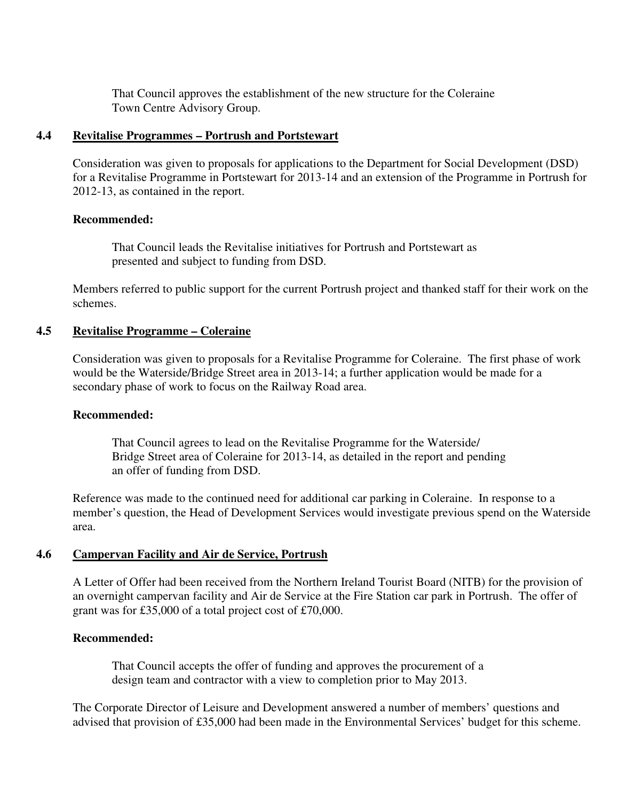That Council approves the establishment of the new structure for the Coleraine Town Centre Advisory Group.

#### **4.4 Revitalise Programmes – Portrush and Portstewart**

Consideration was given to proposals for applications to the Department for Social Development (DSD) for a Revitalise Programme in Portstewart for 2013-14 and an extension of the Programme in Portrush for 2012-13, as contained in the report.

#### **Recommended:**

 That Council leads the Revitalise initiatives for Portrush and Portstewart as presented and subject to funding from DSD.

Members referred to public support for the current Portrush project and thanked staff for their work on the schemes.

#### **4.5 Revitalise Programme – Coleraine**

Consideration was given to proposals for a Revitalise Programme for Coleraine. The first phase of work would be the Waterside/Bridge Street area in 2013-14; a further application would be made for a secondary phase of work to focus on the Railway Road area.

#### **Recommended:**

That Council agrees to lead on the Revitalise Programme for the Waterside/ Bridge Street area of Coleraine for 2013-14, as detailed in the report and pending an offer of funding from DSD.

Reference was made to the continued need for additional car parking in Coleraine. In response to a member's question, the Head of Development Services would investigate previous spend on the Waterside area.

#### **4.6 Campervan Facility and Air de Service, Portrush**

A Letter of Offer had been received from the Northern Ireland Tourist Board (NITB) for the provision of an overnight campervan facility and Air de Service at the Fire Station car park in Portrush. The offer of grant was for £35,000 of a total project cost of £70,000.

#### **Recommended:**

That Council accepts the offer of funding and approves the procurement of a design team and contractor with a view to completion prior to May 2013.

The Corporate Director of Leisure and Development answered a number of members' questions and advised that provision of £35,000 had been made in the Environmental Services' budget for this scheme.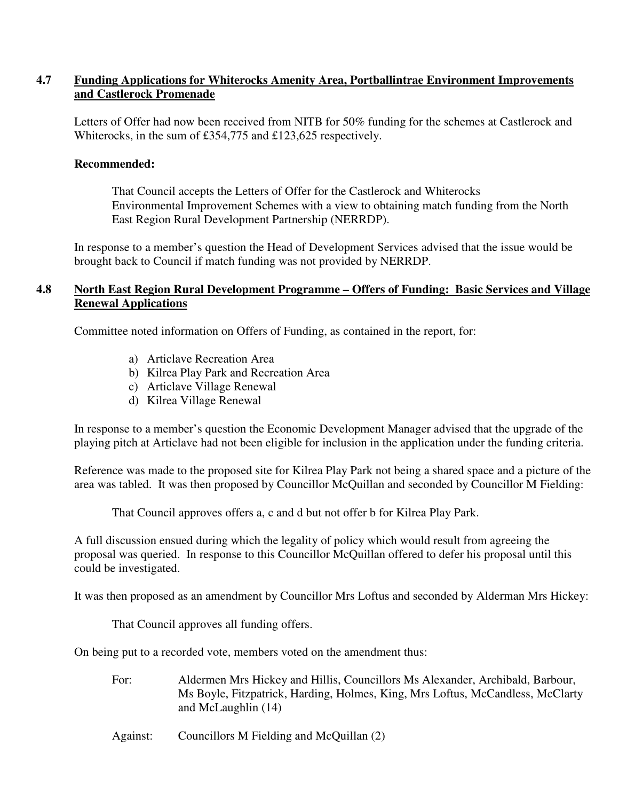#### **4.7 Funding Applications for Whiterocks Amenity Area, Portballintrae Environment Improvements and Castlerock Promenade**

Letters of Offer had now been received from NITB for 50% funding for the schemes at Castlerock and Whiterocks, in the sum of £354,775 and £123,625 respectively.

#### **Recommended:**

 That Council accepts the Letters of Offer for the Castlerock and Whiterocks Environmental Improvement Schemes with a view to obtaining match funding from the North East Region Rural Development Partnership (NERRDP).

In response to a member's question the Head of Development Services advised that the issue would be brought back to Council if match funding was not provided by NERRDP.

#### **4.8 North East Region Rural Development Programme – Offers of Funding: Basic Services and Village Renewal Applications**

Committee noted information on Offers of Funding, as contained in the report, for:

- a) Articlave Recreation Area
- b) Kilrea Play Park and Recreation Area
- c) Articlave Village Renewal
- d) Kilrea Village Renewal

In response to a member's question the Economic Development Manager advised that the upgrade of the playing pitch at Articlave had not been eligible for inclusion in the application under the funding criteria.

Reference was made to the proposed site for Kilrea Play Park not being a shared space and a picture of the area was tabled. It was then proposed by Councillor McQuillan and seconded by Councillor M Fielding:

That Council approves offers a, c and d but not offer b for Kilrea Play Park.

A full discussion ensued during which the legality of policy which would result from agreeing the proposal was queried. In response to this Councillor McQuillan offered to defer his proposal until this could be investigated.

It was then proposed as an amendment by Councillor Mrs Loftus and seconded by Alderman Mrs Hickey:

That Council approves all funding offers.

On being put to a recorded vote, members voted on the amendment thus:

For: Aldermen Mrs Hickey and Hillis, Councillors Ms Alexander, Archibald, Barbour, Ms Boyle, Fitzpatrick, Harding, Holmes, King, Mrs Loftus, McCandless, McClarty and McLaughlin (14)

Against: Councillors M Fielding and McQuillan (2)